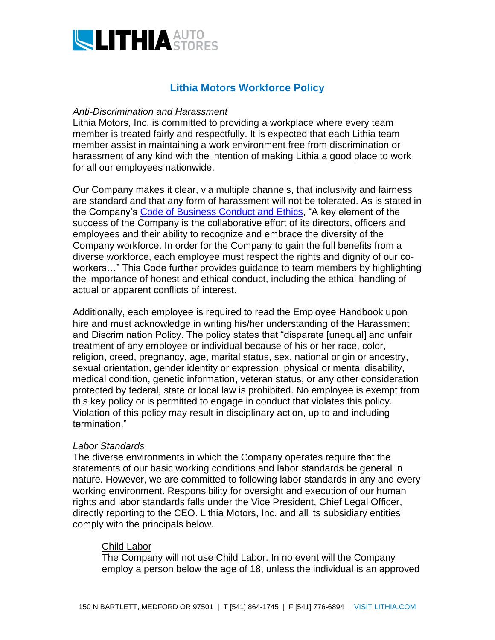

# **Lithia Motors Workforce Policy**

## *Anti-Discrimination and Harassment*

Lithia Motors, Inc. is committed to providing a workplace where every team member is treated fairly and respectfully. It is expected that each Lithia team member assist in maintaining a work environment free from discrimination or harassment of any kind with the intention of making Lithia a good place to work for all our employees nationwide.

Our Company makes it clear, via multiple channels, that inclusivity and fairness are standard and that any form of harassment will not be tolerated. As is stated in the Company's [Code of Business Conduct and Ethics,](http://www.lithiainvestorrelations.com/2019CodeofBusinessConductandEthics.pdf) "A key element of the success of the Company is the collaborative effort of its directors, officers and employees and their ability to recognize and embrace the diversity of the Company workforce. In order for the Company to gain the full benefits from a diverse workforce, each employee must respect the rights and dignity of our coworkers…" This Code further provides guidance to team members by highlighting the importance of honest and ethical conduct, including the ethical handling of actual or apparent conflicts of interest.

Additionally, each employee is required to read the Employee Handbook upon hire and must acknowledge in writing his/her understanding of the Harassment and Discrimination Policy. The policy states that "disparate [unequal] and unfair treatment of any employee or individual because of his or her race, color, religion, creed, pregnancy, age, marital status, sex, national origin or ancestry, sexual orientation, gender identity or expression, physical or mental disability, medical condition, genetic information, veteran status, or any other consideration protected by federal, state or local law is prohibited. No employee is exempt from this key policy or is permitted to engage in conduct that violates this policy. Violation of this policy may result in disciplinary action, up to and including termination."

# *Labor Standards*

The diverse environments in which the Company operates require that the statements of our basic working conditions and labor standards be general in nature. However, we are committed to following labor standards in any and every working environment. Responsibility for oversight and execution of our human rights and labor standards falls under the Vice President, Chief Legal Officer, directly reporting to the CEO. Lithia Motors, Inc. and all its subsidiary entities comply with the principals below.

# Child Labor

The Company will not use Child Labor. In no event will the Company employ a person below the age of 18, unless the individual is an approved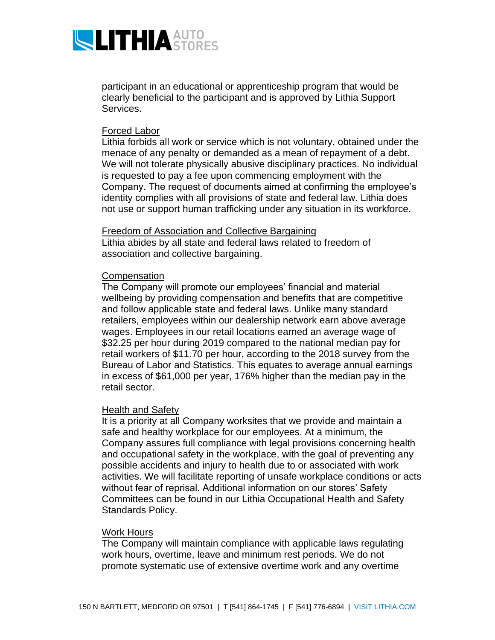

participant in an educational or apprenticeship program that would be clearly beneficial to the participant and is approved by Lithia Support Services.

# Forced Labor

Lithia forbids all work or service which is not voluntary, obtained under the menace of any penalty or demanded as a mean of repayment of a debt. We will not tolerate physically abusive disciplinary practices. No individual is requested to pay a fee upon commencing employment with the Company. The request of documents aimed at confirming the employee's identity complies with all provisions of state and federal law. Lithia does not use or support human trafficking under any situation in its workforce.

### Freedom of Association and Collective Bargaining

Lithia abides by all state and federal laws related to freedom of association and collective bargaining.

## **Compensation**

The Company will promote our employees' financial and material wellbeing by providing compensation and benefits that are competitive and follow applicable state and federal laws. Unlike many standard retailers, employees within our dealership network earn above average wages. Employees in our retail locations earned an average wage of \$32.25 per hour during 2019 compared to the national median pay for retail workers of \$11.70 per hour, according to the 2018 survey from the Bureau of Labor and Statistics. This equates to average annual earnings in excess of \$61,000 per year, 176% higher than the median pay in the retail sector.

# Health and Safety

It is a priority at all Company worksites that we provide and maintain a safe and healthy workplace for our employees. At a minimum, the Company assures full compliance with legal provisions concerning health and occupational safety in the workplace, with the goal of preventing any possible accidents and injury to health due to or associated with work activities. We will facilitate reporting of unsafe workplace conditions or acts without fear of reprisal. Additional information on our stores' Safety Committees can be found in our Lithia Occupational Health and Safety Standards Policy.

#### Work Hours

The Company will maintain compliance with applicable laws regulating work hours, overtime, leave and minimum rest periods. We do not promote systematic use of extensive overtime work and any overtime